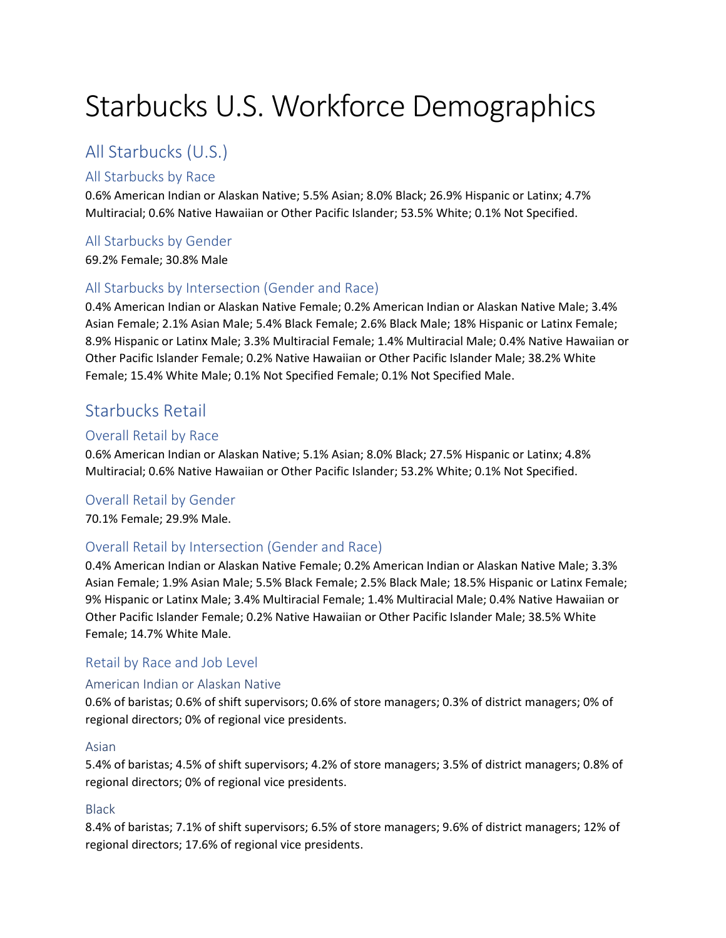# Starbucks U.S. Workforce Demographics

# All Starbucks (U.S.)

# All Starbucks by Race

0.6% American Indian or Alaskan Native; 5.5% Asian; 8.0% Black; 26.9% Hispanic or Latinx; 4.7% Multiracial; 0.6% Native Hawaiian or Other Pacific Islander; 53.5% White; 0.1% Not Specified.

# All Starbucks by Gender

69.2% Female; 30.8% Male

# All Starbucks by Intersection (Gender and Race)

0.4% American Indian or Alaskan Native Female; 0.2% American Indian or Alaskan Native Male; 3.4% Asian Female; 2.1% Asian Male; 5.4% Black Female; 2.6% Black Male; 18% Hispanic or Latinx Female; 8.9% Hispanic or Latinx Male; 3.3% Multiracial Female; 1.4% Multiracial Male; 0.4% Native Hawaiian or Other Pacific Islander Female; 0.2% Native Hawaiian or Other Pacific Islander Male; 38.2% White Female; 15.4% White Male; 0.1% Not Specified Female; 0.1% Not Specified Male.

# Starbucks Retail

# Overall Retail by Race

0.6% American Indian or Alaskan Native; 5.1% Asian; 8.0% Black; 27.5% Hispanic or Latinx; 4.8% Multiracial; 0.6% Native Hawaiian or Other Pacific Islander; 53.2% White; 0.1% Not Specified.

# Overall Retail by Gender

70.1% Female; 29.9% Male.

# Overall Retail by Intersection (Gender and Race)

0.4% American Indian or Alaskan Native Female; 0.2% American Indian or Alaskan Native Male; 3.3% Asian Female; 1.9% Asian Male; 5.5% Black Female; 2.5% Black Male; 18.5% Hispanic or Latinx Female; 9% Hispanic or Latinx Male; 3.4% Multiracial Female; 1.4% Multiracial Male; 0.4% Native Hawaiian or Other Pacific Islander Female; 0.2% Native Hawaiian or Other Pacific Islander Male; 38.5% White Female; 14.7% White Male.

# Retail by Race and Job Level

# American Indian or Alaskan Native

0.6% of baristas; 0.6% of shift supervisors; 0.6% of store managers; 0.3% of district managers; 0% of regional directors; 0% of regional vice presidents.

### Asian

5.4% of baristas; 4.5% of shift supervisors; 4.2% of store managers; 3.5% of district managers; 0.8% of regional directors; 0% of regional vice presidents.

# Black

8.4% of baristas; 7.1% of shift supervisors; 6.5% of store managers; 9.6% of district managers; 12% of regional directors; 17.6% of regional vice presidents.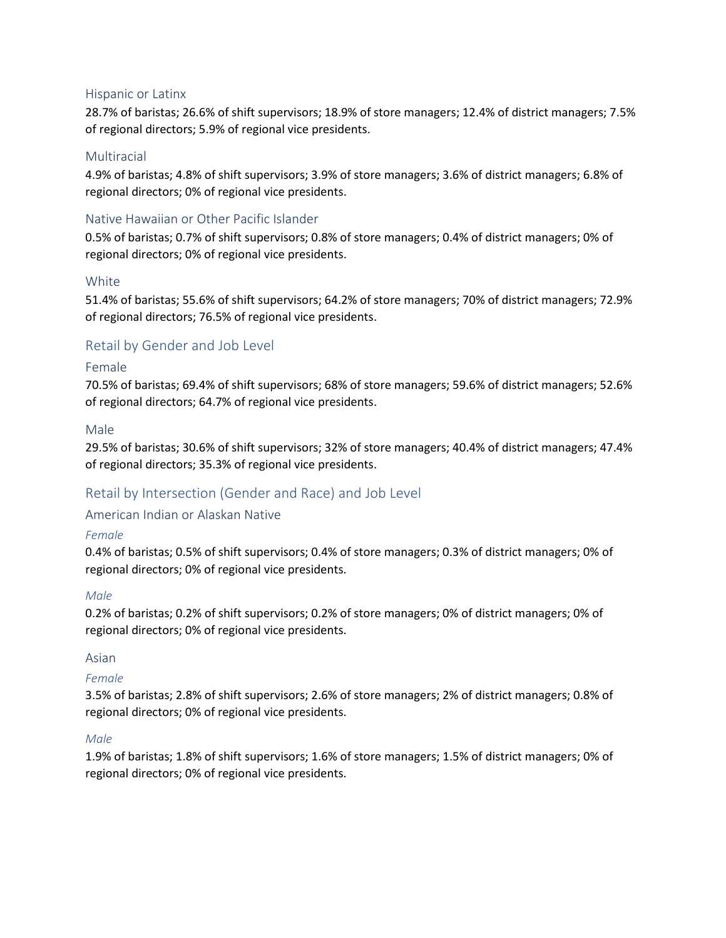### Hispanic or Latinx

28.7% of baristas; 26.6% of shift supervisors; 18.9% of store managers; 12.4% of district managers; 7.5% of regional directors; 5.9% of regional vice presidents.

### **Multiracial**

4.9% of baristas; 4.8% of shift supervisors; 3.9% of store managers; 3.6% of district managers; 6.8% of regional directors; 0% of regional vice presidents.

# Native Hawaiian or Other Pacific Islander

0.5% of baristas; 0.7% of shift supervisors; 0.8% of store managers; 0.4% of district managers; 0% of regional directors; 0% of regional vice presidents.

### White

51.4% of baristas; 55.6% of shift supervisors; 64.2% of store managers; 70% of district managers; 72.9% of regional directors; 76.5% of regional vice presidents.

# Retail by Gender and Job Level

### Female

70.5% of baristas; 69.4% of shift supervisors; 68% of store managers; 59.6% of district managers; 52.6% of regional directors; 64.7% of regional vice presidents.

### Male

29.5% of baristas; 30.6% of shift supervisors; 32% of store managers; 40.4% of district managers; 47.4% of regional directors; 35.3% of regional vice presidents.

# Retail by Intersection (Gender and Race) and Job Level

### American Indian or Alaskan Native

### *Female*

0.4% of baristas; 0.5% of shift supervisors; 0.4% of store managers; 0.3% of district managers; 0% of regional directors; 0% of regional vice presidents.

### *Male*

0.2% of baristas; 0.2% of shift supervisors; 0.2% of store managers; 0% of district managers; 0% of regional directors; 0% of regional vice presidents.

### Asian

### *Female*

3.5% of baristas; 2.8% of shift supervisors; 2.6% of store managers; 2% of district managers; 0.8% of regional directors; 0% of regional vice presidents.

### *Male*

1.9% of baristas; 1.8% of shift supervisors; 1.6% of store managers; 1.5% of district managers; 0% of regional directors; 0% of regional vice presidents.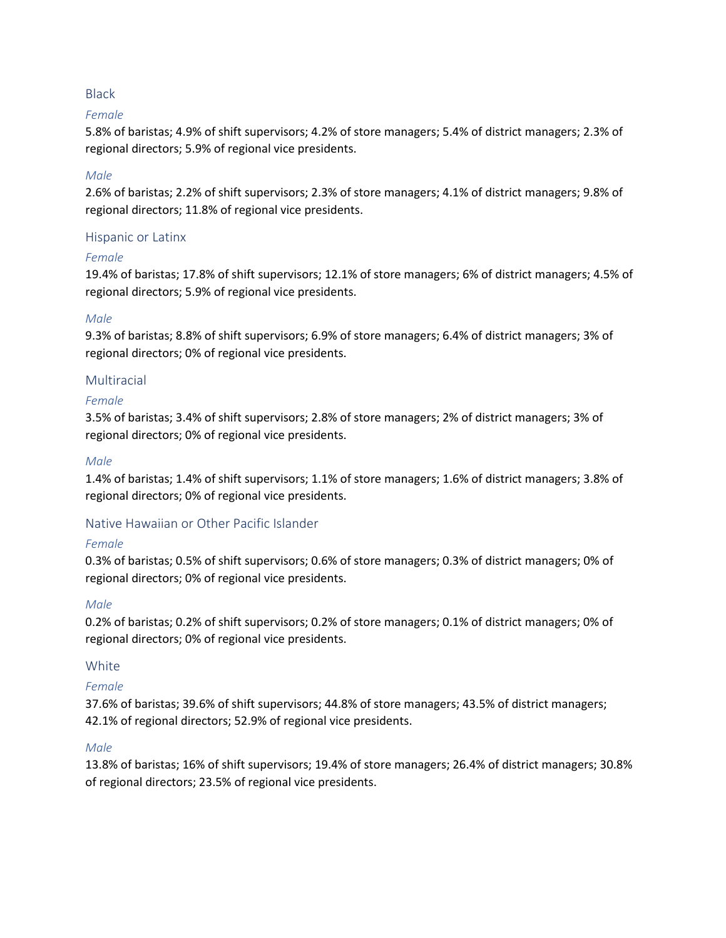### Black

### *Female*

5.8% of baristas; 4.9% of shift supervisors; 4.2% of store managers; 5.4% of district managers; 2.3% of regional directors; 5.9% of regional vice presidents.

### *Male*

2.6% of baristas; 2.2% of shift supervisors; 2.3% of store managers; 4.1% of district managers; 9.8% of regional directors; 11.8% of regional vice presidents.

### Hispanic or Latinx

### *Female*

19.4% of baristas; 17.8% of shift supervisors; 12.1% of store managers; 6% of district managers; 4.5% of regional directors; 5.9% of regional vice presidents.

### *Male*

9.3% of baristas; 8.8% of shift supervisors; 6.9% of store managers; 6.4% of district managers; 3% of regional directors; 0% of regional vice presidents.

# Multiracial

### *Female*

3.5% of baristas; 3.4% of shift supervisors; 2.8% of store managers; 2% of district managers; 3% of regional directors; 0% of regional vice presidents.

### *Male*

1.4% of baristas; 1.4% of shift supervisors; 1.1% of store managers; 1.6% of district managers; 3.8% of regional directors; 0% of regional vice presidents.

# Native Hawaiian or Other Pacific Islander

# *Female*

0.3% of baristas; 0.5% of shift supervisors; 0.6% of store managers; 0.3% of district managers; 0% of regional directors; 0% of regional vice presidents.

### *Male*

0.2% of baristas; 0.2% of shift supervisors; 0.2% of store managers; 0.1% of district managers; 0% of regional directors; 0% of regional vice presidents.

# White

# *Female*

37.6% of baristas; 39.6% of shift supervisors; 44.8% of store managers; 43.5% of district managers; 42.1% of regional directors; 52.9% of regional vice presidents.

### *Male*

13.8% of baristas; 16% of shift supervisors; 19.4% of store managers; 26.4% of district managers; 30.8% of regional directors; 23.5% of regional vice presidents.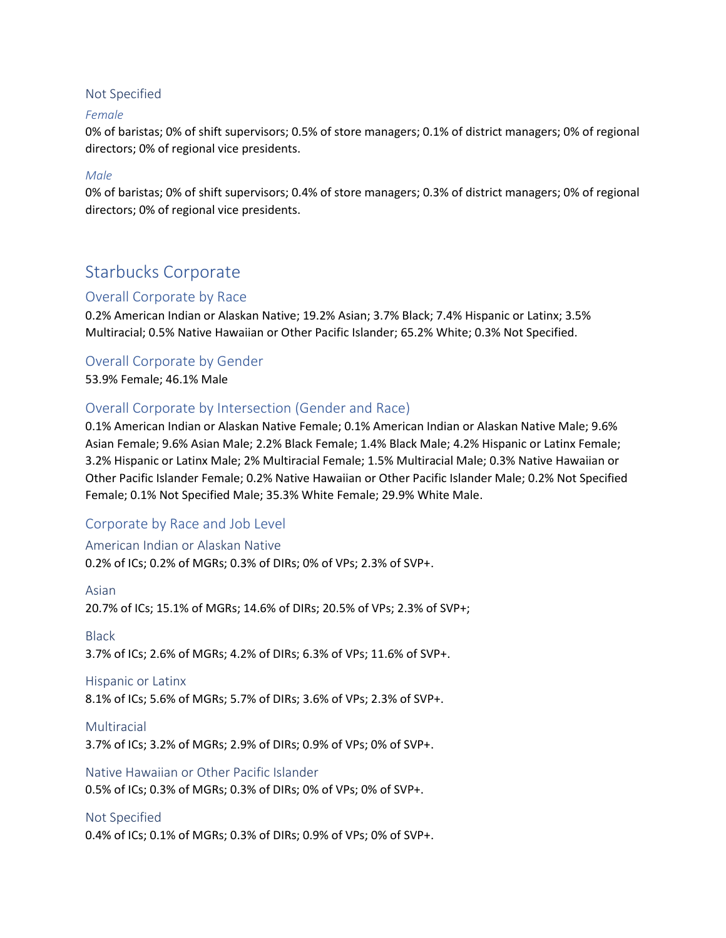### Not Specified

### *Female*

0% of baristas; 0% of shift supervisors; 0.5% of store managers; 0.1% of district managers; 0% of regional directors; 0% of regional vice presidents.

### *Male*

0% of baristas; 0% of shift supervisors; 0.4% of store managers; 0.3% of district managers; 0% of regional directors; 0% of regional vice presidents.

# Starbucks Corporate

# Overall Corporate by Race

0.2% American Indian or Alaskan Native; 19.2% Asian; 3.7% Black; 7.4% Hispanic or Latinx; 3.5% Multiracial; 0.5% Native Hawaiian or Other Pacific Islander; 65.2% White; 0.3% Not Specified.

# Overall Corporate by Gender

53.9% Female; 46.1% Male

# Overall Corporate by Intersection (Gender and Race)

0.1% American Indian or Alaskan Native Female; 0.1% American Indian or Alaskan Native Male; 9.6% Asian Female; 9.6% Asian Male; 2.2% Black Female; 1.4% Black Male; 4.2% Hispanic or Latinx Female; 3.2% Hispanic or Latinx Male; 2% Multiracial Female; 1.5% Multiracial Male; 0.3% Native Hawaiian or Other Pacific Islander Female; 0.2% Native Hawaiian or Other Pacific Islander Male; 0.2% Not Specified Female; 0.1% Not Specified Male; 35.3% White Female; 29.9% White Male.

# Corporate by Race and Job Level

### American Indian or Alaskan Native

0.2% of ICs; 0.2% of MGRs; 0.3% of DIRs; 0% of VPs; 2.3% of SVP+.

### Asian

20.7% of ICs; 15.1% of MGRs; 14.6% of DIRs; 20.5% of VPs; 2.3% of SVP+;

### Black

3.7% of ICs; 2.6% of MGRs; 4.2% of DIRs; 6.3% of VPs; 11.6% of SVP+.

### Hispanic or Latinx

8.1% of ICs; 5.6% of MGRs; 5.7% of DIRs; 3.6% of VPs; 2.3% of SVP+.

Multiracial 3.7% of ICs; 3.2% of MGRs; 2.9% of DIRs; 0.9% of VPs; 0% of SVP+.

# Native Hawaiian or Other Pacific Islander 0.5% of ICs; 0.3% of MGRs; 0.3% of DIRs; 0% of VPs; 0% of SVP+.

# Not Specified

0.4% of ICs; 0.1% of MGRs; 0.3% of DIRs; 0.9% of VPs; 0% of SVP+.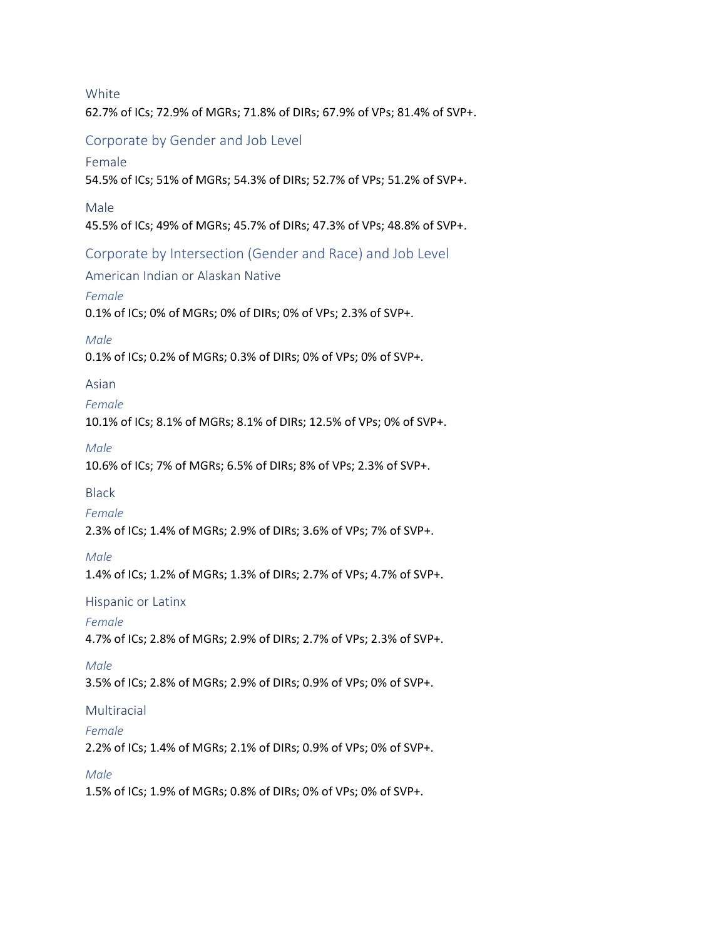**White** 62.7% of ICs; 72.9% of MGRs; 71.8% of DIRs; 67.9% of VPs; 81.4% of SVP+.

# Corporate by Gender and Job Level

# Female

54.5% of ICs; 51% of MGRs; 54.3% of DIRs; 52.7% of VPs; 51.2% of SVP+.

Male

45.5% of ICs; 49% of MGRs; 45.7% of DIRs; 47.3% of VPs; 48.8% of SVP+.

Corporate by Intersection (Gender and Race) and Job Level

American Indian or Alaskan Native

# *Female*

0.1% of ICs; 0% of MGRs; 0% of DIRs; 0% of VPs; 2.3% of SVP+.

# *Male*

0.1% of ICs; 0.2% of MGRs; 0.3% of DIRs; 0% of VPs; 0% of SVP+.

# Asian

# *Female*

10.1% of ICs; 8.1% of MGRs; 8.1% of DIRs; 12.5% of VPs; 0% of SVP+.

### *Male*

10.6% of ICs; 7% of MGRs; 6.5% of DIRs; 8% of VPs; 2.3% of SVP+.

# Black

# *Female*

2.3% of ICs; 1.4% of MGRs; 2.9% of DIRs; 3.6% of VPs; 7% of SVP+.

# *Male*

1.4% of ICs; 1.2% of MGRs; 1.3% of DIRs; 2.7% of VPs; 4.7% of SVP+.

# Hispanic or Latinx

# *Female*

4.7% of ICs; 2.8% of MGRs; 2.9% of DIRs; 2.7% of VPs; 2.3% of SVP+.

# *Male*

3.5% of ICs; 2.8% of MGRs; 2.9% of DIRs; 0.9% of VPs; 0% of SVP+.

# Multiracial

# *Female*

2.2% of ICs; 1.4% of MGRs; 2.1% of DIRs; 0.9% of VPs; 0% of SVP+.

# *Male*

1.5% of ICs; 1.9% of MGRs; 0.8% of DIRs; 0% of VPs; 0% of SVP+.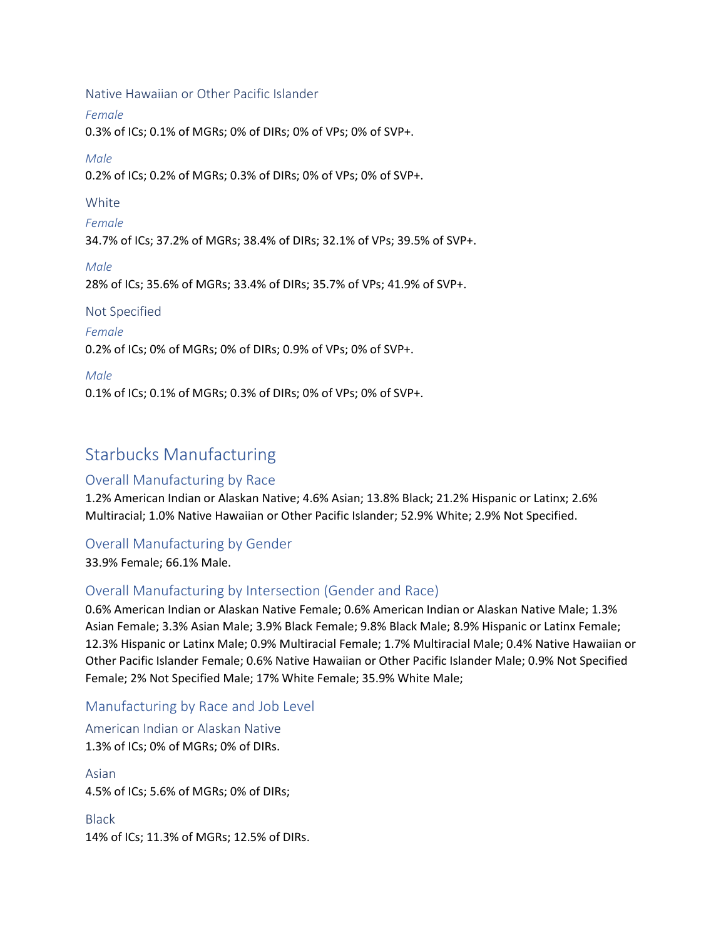Native Hawaiian or Other Pacific Islander

*Female*

0.3% of ICs; 0.1% of MGRs; 0% of DIRs; 0% of VPs; 0% of SVP+.

*Male*

0.2% of ICs; 0.2% of MGRs; 0.3% of DIRs; 0% of VPs; 0% of SVP+.

# White

*Female* 34.7% of ICs; 37.2% of MGRs; 38.4% of DIRs; 32.1% of VPs; 39.5% of SVP+.

*Male* 28% of ICs; 35.6% of MGRs; 33.4% of DIRs; 35.7% of VPs; 41.9% of SVP+.

# Not Specified

# *Female*

0.2% of ICs; 0% of MGRs; 0% of DIRs; 0.9% of VPs; 0% of SVP+.

# *Male*

0.1% of ICs; 0.1% of MGRs; 0.3% of DIRs; 0% of VPs; 0% of SVP+.

# Starbucks Manufacturing

# Overall Manufacturing by Race

1.2% American Indian or Alaskan Native; 4.6% Asian; 13.8% Black; 21.2% Hispanic or Latinx; 2.6% Multiracial; 1.0% Native Hawaiian or Other Pacific Islander; 52.9% White; 2.9% Not Specified.

# Overall Manufacturing by Gender

33.9% Female; 66.1% Male.

# Overall Manufacturing by Intersection (Gender and Race)

0.6% American Indian or Alaskan Native Female; 0.6% American Indian or Alaskan Native Male; 1.3% Asian Female; 3.3% Asian Male; 3.9% Black Female; 9.8% Black Male; 8.9% Hispanic or Latinx Female; 12.3% Hispanic or Latinx Male; 0.9% Multiracial Female; 1.7% Multiracial Male; 0.4% Native Hawaiian or Other Pacific Islander Female; 0.6% Native Hawaiian or Other Pacific Islander Male; 0.9% Not Specified Female; 2% Not Specified Male; 17% White Female; 35.9% White Male;

# Manufacturing by Race and Job Level

American Indian or Alaskan Native 1.3% of ICs; 0% of MGRs; 0% of DIRs.

Asian 4.5% of ICs; 5.6% of MGRs; 0% of DIRs;

Black 14% of ICs; 11.3% of MGRs; 12.5% of DIRs.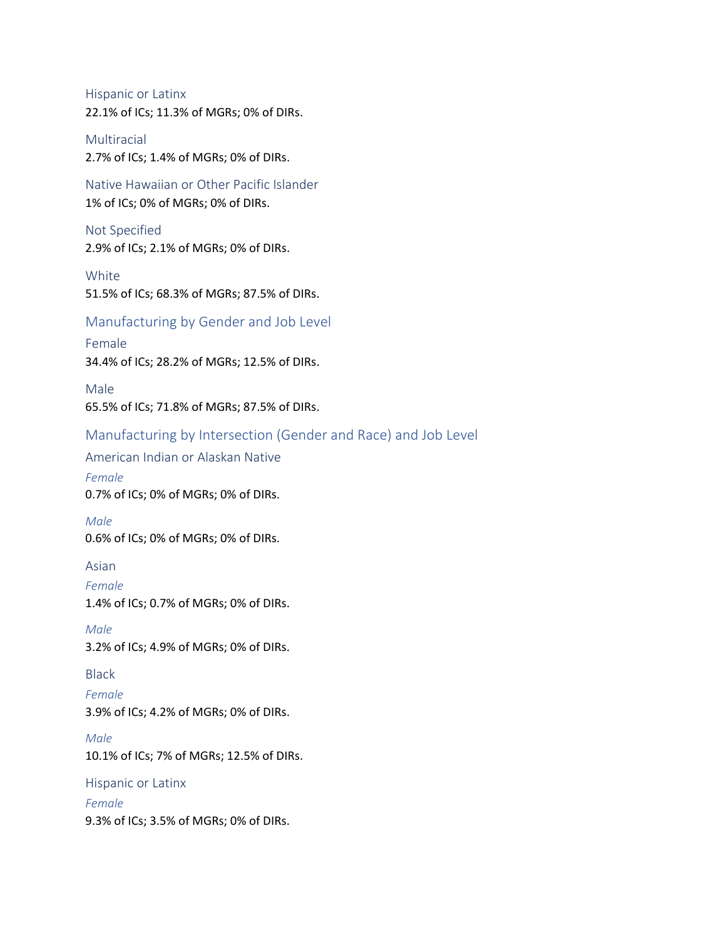Hispanic or Latinx 22.1% of ICs; 11.3% of MGRs; 0% of DIRs.

Multiracial 2.7% of ICs; 1.4% of MGRs; 0% of DIRs.

Native Hawaiian or Other Pacific Islander 1% of ICs; 0% of MGRs; 0% of DIRs.

Not Specified 2.9% of ICs; 2.1% of MGRs; 0% of DIRs.

White 51.5% of ICs; 68.3% of MGRs; 87.5% of DIRs.

Manufacturing by Gender and Job Level

Female 34.4% of ICs; 28.2% of MGRs; 12.5% of DIRs.

Male 65.5% of ICs; 71.8% of MGRs; 87.5% of DIRs.

Manufacturing by Intersection (Gender and Race) and Job Level

American Indian or Alaskan Native *Female* 0.7% of ICs; 0% of MGRs; 0% of DIRs.

*Male* 0.6% of ICs; 0% of MGRs; 0% of DIRs.

Asian

*Female* 1.4% of ICs; 0.7% of MGRs; 0% of DIRs.

*Male* 3.2% of ICs; 4.9% of MGRs; 0% of DIRs.

Black

*Female* 3.9% of ICs; 4.2% of MGRs; 0% of DIRs.

*Male* 10.1% of ICs; 7% of MGRs; 12.5% of DIRs.

Hispanic or Latinx *Female* 9.3% of ICs; 3.5% of MGRs; 0% of DIRs.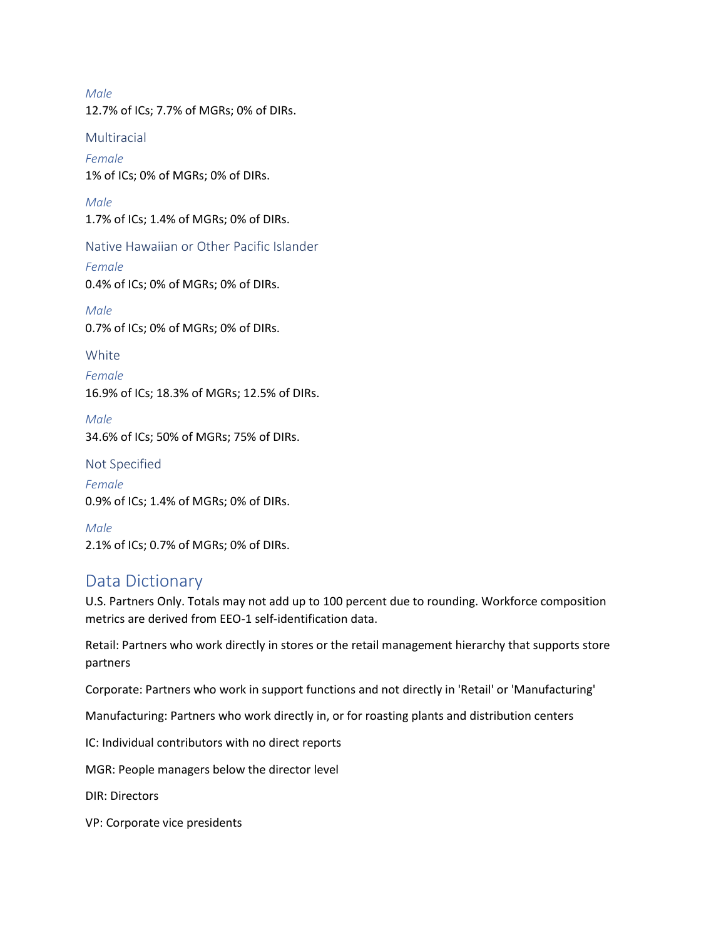*Male* 12.7% of ICs; 7.7% of MGRs; 0% of DIRs.

**Multiracial** *Female* 1% of ICs; 0% of MGRs; 0% of DIRs.

*Male* 1.7% of ICs; 1.4% of MGRs; 0% of DIRs.

Native Hawaiian or Other Pacific Islander *Female* 0.4% of ICs; 0% of MGRs; 0% of DIRs.

*Male* 0.7% of ICs; 0% of MGRs; 0% of DIRs.

**White** 

*Female* 16.9% of ICs; 18.3% of MGRs; 12.5% of DIRs.

*Male* 34.6% of ICs; 50% of MGRs; 75% of DIRs.

Not Specified

*Female* 0.9% of ICs; 1.4% of MGRs; 0% of DIRs.

*Male* 2.1% of ICs; 0.7% of MGRs; 0% of DIRs.

# Data Dictionary

U.S. Partners Only. Totals may not add up to 100 percent due to rounding. Workforce composition metrics are derived from EEO-1 self-identification data.

Retail: Partners who work directly in stores or the retail management hierarchy that supports store partners

Corporate: Partners who work in support functions and not directly in 'Retail' or 'Manufacturing'

Manufacturing: Partners who work directly in, or for roasting plants and distribution centers

IC: Individual contributors with no direct reports

MGR: People managers below the director level

DIR: Directors

VP: Corporate vice presidents